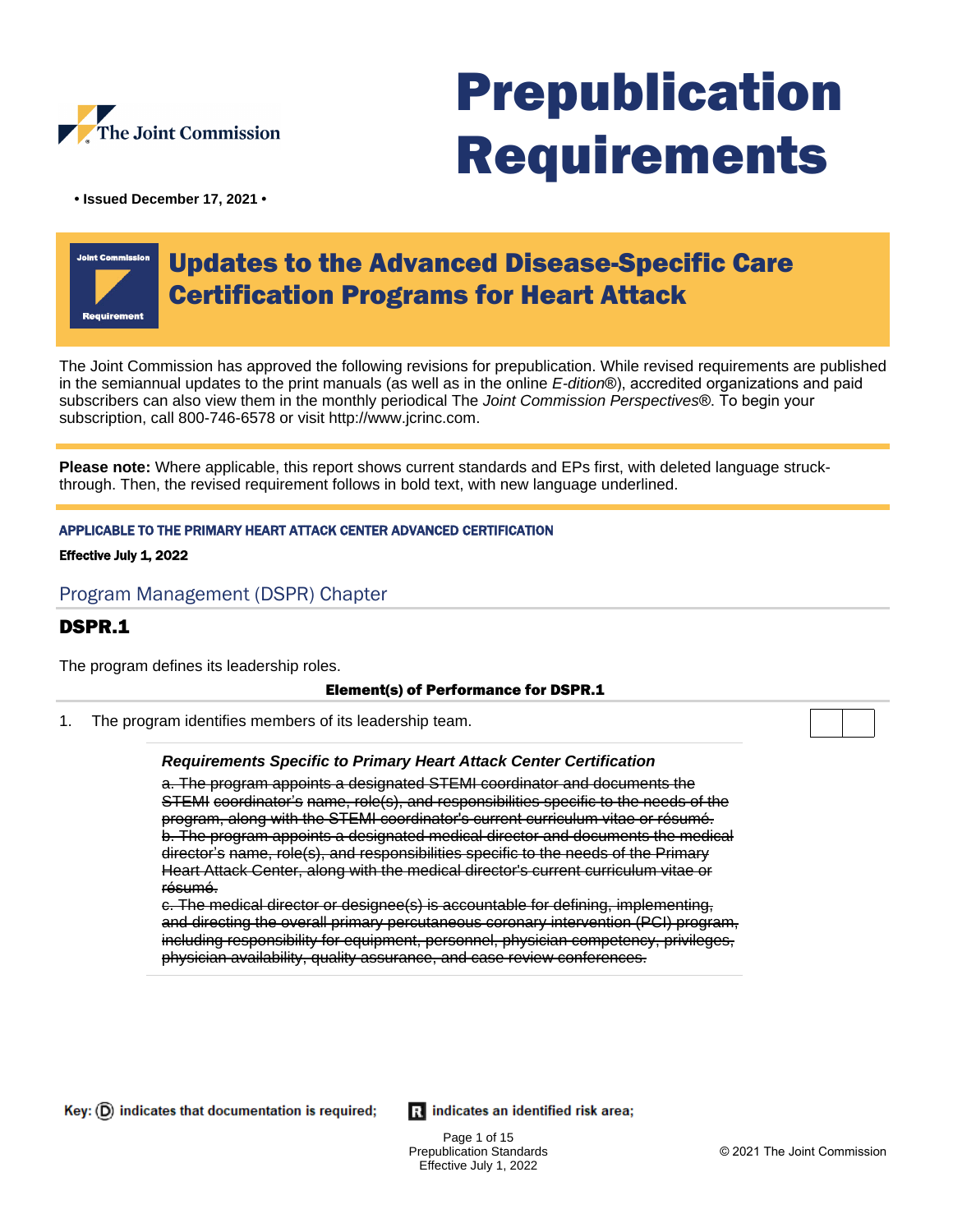

# Prepublication Requirements

**• Issued December 17, 2021 •**

## Updates to the Advanced Disease-Specific Care Certification Programs for Heart Attack

The Joint Commission has approved the following revisions for prepublication. While revised requirements are published in the semiannual updates to the print manuals (as well as in the online E-dition®), accredited organizations and paid subscribers can also view them in the monthly periodical The Joint Commission Perspectives®. To begin your subscription, call 800-746-6578 or visit http://www.jcrinc.com.

**Please note:** Where applicable, this report shows current standards and EPs first, with deleted language struckthrough. Then, the revised requirement follows in bold text, with new language underlined.

#### APPLICABLE TO THE PRIMARY HEART ATTACK CENTER ADVANCED CERTIFICATION

#### Effective July 1, 2022

#### Program Management (DSPR) Chapter

## DSPR.1

The program defines its leadership roles.

#### Element(s) of Performance for DSPR.1

1. The program identifies members of its leadership team.

#### **Requirements Specific to Primary Heart Attack Center Certification**

a. The program appoints a designated STEMI coordinator and documents the STEMI coordinator's name, role(s), and responsibilities specific to the needs of the program, along with the STEMI coordinator's current curriculum vitae or résumé. b. The program appoints a designated medical director and documents the medical director's name, role(s), and responsibilities specific to the needs of the Primary Heart Attack Center, along with the medical director's current curriculum vitae or résumé.

c. The medical director or designee(s) is accountable for defining, implementing, and directing the overall primary percutaneous coronary intervention (PCI) program, including responsibility for equipment, personnel, physician competency, privileges, physician availability, quality assurance, and case review conferences.

Ri indicates an identified risk area;

Page 1 of 15 Prepublication Standards Effective July 1, 2022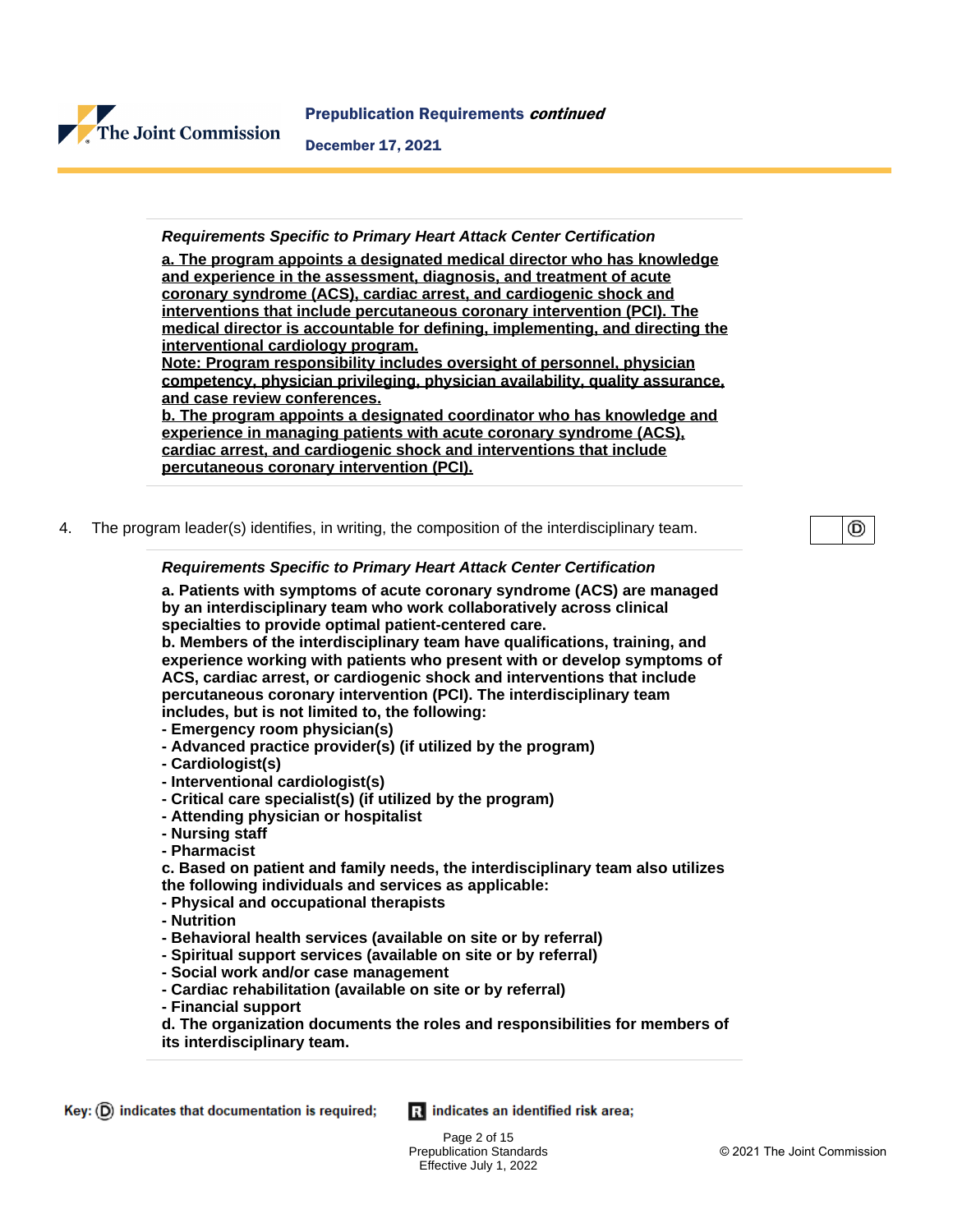

#### **Requirements Specific to Primary Heart Attack Center Certification**

**a. The program appoints a designated medical director who has knowledge and experience in the assessment, diagnosis, and treatment of acute coronary syndrome (ACS), cardiac arrest, and cardiogenic shock and interventions that include percutaneous coronary intervention (PCI). The medical director is accountable for defining, implementing, and directing the interventional cardiology program.**

**Note: Program responsibility includes oversight of personnel, physician competency, physician privileging, physician availability, quality assurance, and case review conferences.**

**b. The program appoints a designated coordinator who has knowledge and experience in managing patients with acute coronary syndrome (ACS), cardiac arrest, and cardiogenic shock and interventions that include percutaneous coronary intervention (PCI).**

4. The program leader(s) identifies, in writing, the composition of the interdisciplinary team.

#### **Requirements Specific to Primary Heart Attack Center Certification**

**a. Patients with symptoms of acute coronary syndrome (ACS) are managed by an interdisciplinary team who work collaboratively across clinical specialties to provide optimal patient-centered care.**

**b. Members of the interdisciplinary team have qualifications, training, and experience working with patients who present with or develop symptoms of ACS, cardiac arrest, or cardiogenic shock and interventions that include percutaneous coronary intervention (PCI). The interdisciplinary team includes, but is not limited to, the following:** 

- **Emergency room physician(s)**
- **Advanced practice provider(s) (if utilized by the program)**
- **Cardiologist(s)**
- **Interventional cardiologist(s)**
- **Critical care specialist(s) (if utilized by the program)**
- **Attending physician or hospitalist**
- **Nursing staff**
- **Pharmacist**

**c. Based on patient and family needs, the interdisciplinary team also utilizes the following individuals and services as applicable:** 

- **Physical and occupational therapists**
- **Nutrition**
- **Behavioral health services (available on site or by referral)**
- **Spiritual support services (available on site or by referral)**
- **Social work and/or case management**
- **Cardiac rehabilitation (available on site or by referral)**
- **Financial support**
- **d. The organization documents the roles and responsibilities for members of its interdisciplinary team.**

Ri indicates an identified risk area;

⊚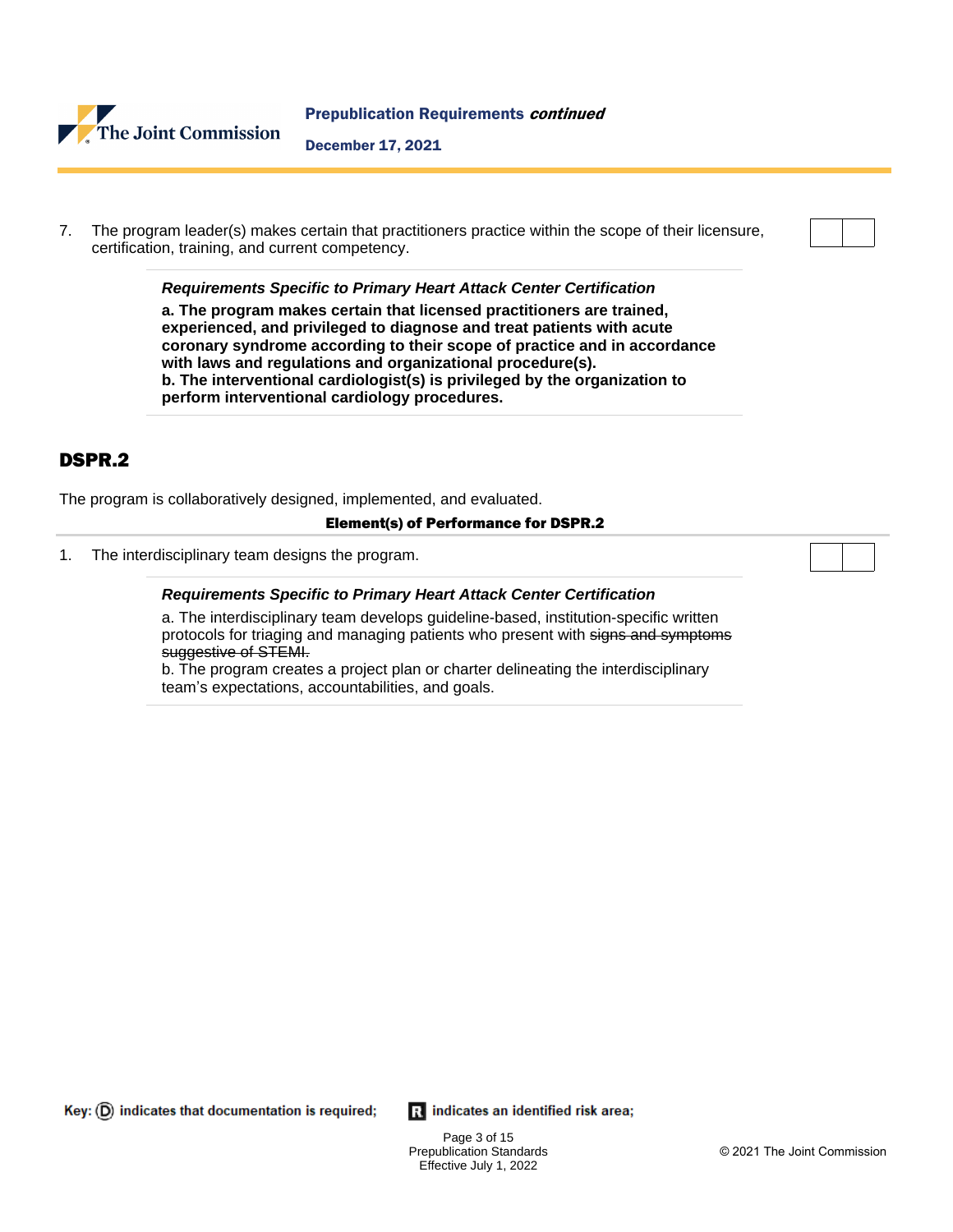

7. The program leader(s) makes certain that practitioners practice within the scope of their licensure, certification, training, and current competency.

**Requirements Specific to Primary Heart Attack Center Certification a. The program makes certain that licensed practitioners are trained,** 

**experienced, and privileged to diagnose and treat patients with acute coronary syndrome according to their scope of practice and in accordance with laws and regulations and organizational procedure(s). b. The interventional cardiologist(s) is privileged by the organization to perform interventional cardiology procedures.**

## DSPR.2

The program is collaboratively designed, implemented, and evaluated.

#### Element(s) of Performance for DSPR.2

1. The interdisciplinary team designs the program.

#### **Requirements Specific to Primary Heart Attack Center Certification**

a. The interdisciplinary team develops guideline-based, institution-specific written protocols for triaging and managing patients who present with signs and symptoms suggestive of STEMI.

b. The program creates a project plan or charter delineating the interdisciplinary team's expectations, accountabilities, and goals.

 $Key: (D)$  indicates that documentation is required;

Ri indicates an identified risk area;

Page 3 of 15 Prepublication Standards Effective July 1, 2022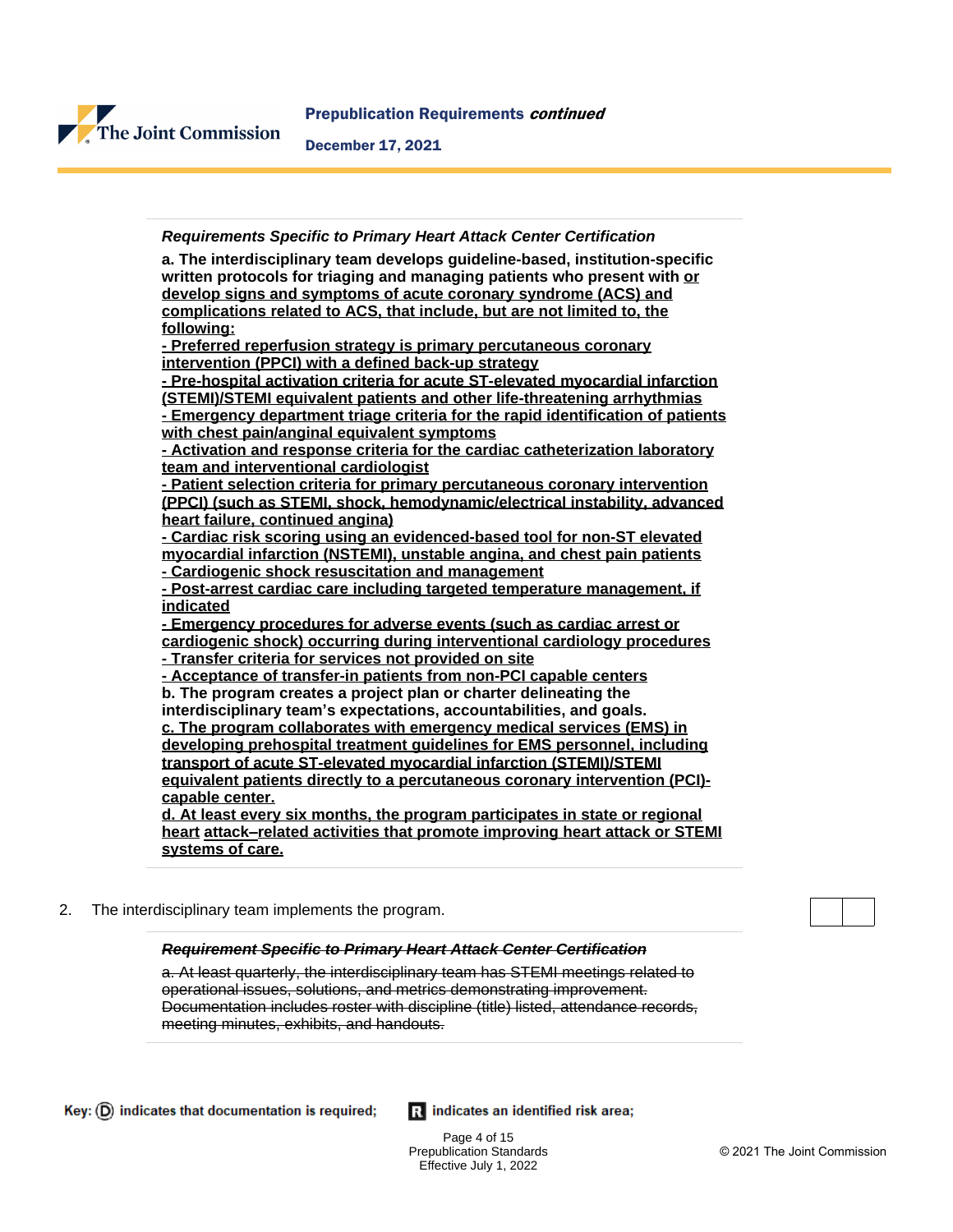

#### **Requirements Specific to Primary Heart Attack Center Certification**

**a. The interdisciplinary team develops guideline-based, institution-specific written protocols for triaging and managing patients who present with or develop signs and symptoms of acute coronary syndrome (ACS) and complications related to ACS, that include, but are not limited to, the following:**

**- Preferred reperfusion strategy is primary percutaneous coronary intervention (PPCI) with a defined back-up strategy**

**- Pre-hospital activation criteria for acute ST-elevated myocardial infarction (STEMI)/STEMI equivalent patients and other life-threatening arrhythmias - Emergency department triage criteria for the rapid identification of patients with chest pain/anginal equivalent symptoms**

**- Activation and response criteria for the cardiac catheterization laboratory team and interventional cardiologist**

**- Patient selection criteria for primary percutaneous coronary intervention (PPCI) (such as STEMI, shock, hemodynamic/electrical instability, advanced heart failure, continued angina)**

**- Cardiac risk scoring using an evidenced-based tool for non-ST elevated myocardial infarction (NSTEMI), unstable angina, and chest pain patients - Cardiogenic shock resuscitation and management**

**- Post-arrest cardiac care including targeted temperature management, if** 

**indicated - Emergency procedures for adverse events (such as cardiac arrest or cardiogenic shock) occurring during interventional cardiology procedures - Transfer criteria for services not provided on site**

**- Acceptance of transfer-in patients from non-PCI capable centers b. The program creates a project plan or charter delineating the interdisciplinary team's expectations, accountabilities, and goals. c. The program collaborates with emergency medical services (EMS) in developing prehospital treatment guidelines for EMS personnel, including** 

**transport of acute ST-elevated myocardial infarction (STEMI)/STEMI equivalent patients directly to a percutaneous coronary intervention (PCI) capable center.**

**d. At least every six months, the program participates in state or regional heart attack–related activities that promote improving heart attack or STEMI systems of care.**

2. The interdisciplinary team implements the program.

#### **Requirement Specific to Primary Heart Attack Center Certification**

a. At least quarterly, the interdisciplinary team has STEMI meetings related to operational issues, solutions, and metrics demonstrating improvement. Documentation includes roster with discipline (title) listed, attendance records, meeting minutes, exhibits, and handouts.

Ri indicates an identified risk area;

Page 4 of 15 Prepublication Standards Effective July 1, 2022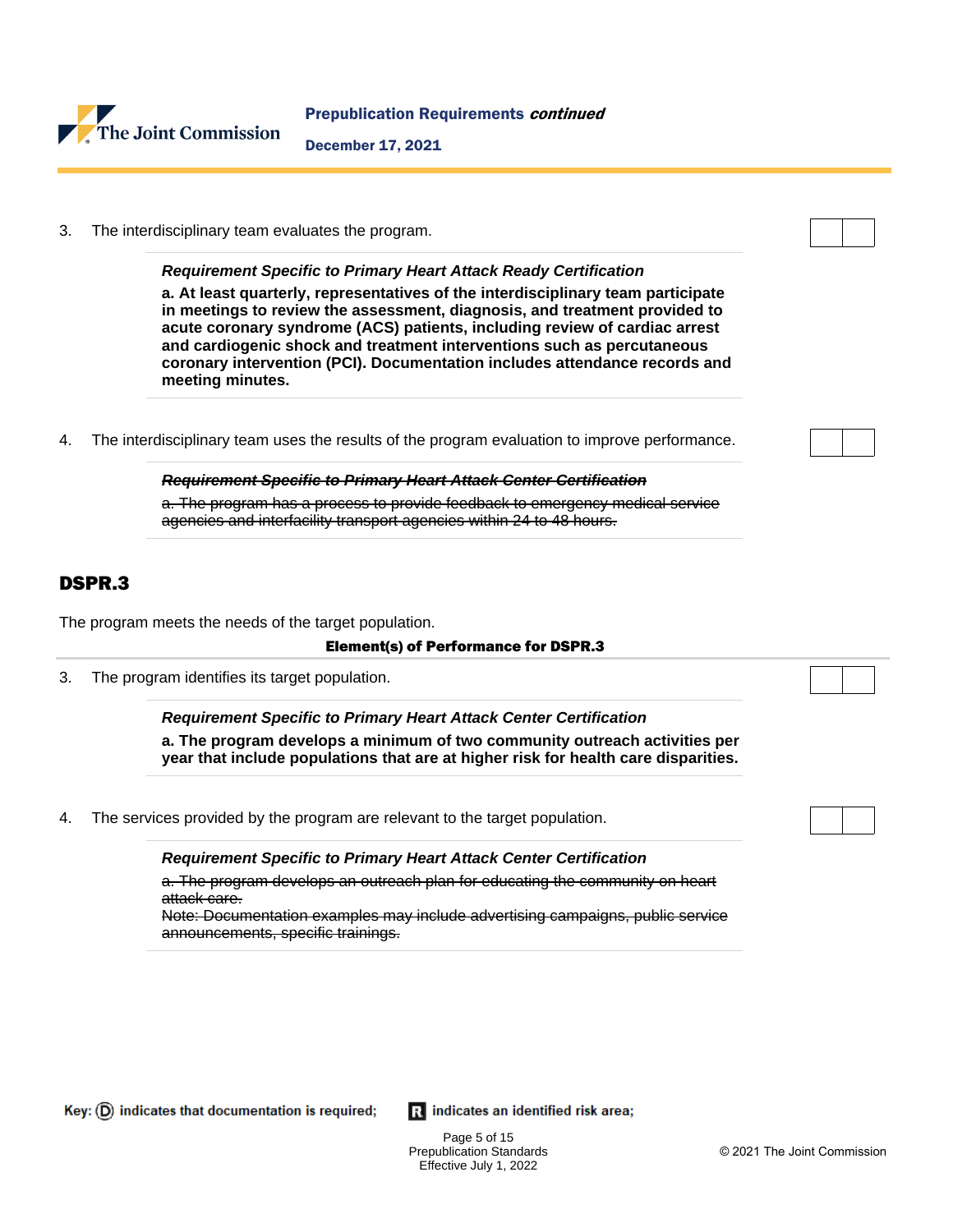

3. The interdisciplinary team evaluates the program.

**Requirement Specific to Primary Heart Attack Ready Certification**

**a. At least quarterly, representatives of the interdisciplinary team participate in meetings to review the assessment, diagnosis, and treatment provided to acute coronary syndrome (ACS) patients, including review of cardiac arrest and cardiogenic shock and treatment interventions such as percutaneous coronary intervention (PCI). Documentation includes attendance records and meeting minutes.**

4. The interdisciplinary team uses the results of the program evaluation to improve performance.

**Requirement Specific to Primary Heart Attack Center Certification** a. The program has a process to provide feedback to emergency medical service agencies and interfacility transport agencies within 24 to 48 hours.

## DSPR.3

The program meets the needs of the target population.

#### Element(s) of Performance for DSPR.3

3. The program identifies its target population.

**Requirement Specific to Primary Heart Attack Center Certification a. The program develops a minimum of two community outreach activities per year that include populations that are at higher risk for health care disparities.**

4. The services provided by the program are relevant to the target population.

**Requirement Specific to Primary Heart Attack Center Certification**

a. The program develops an outreach plan for educating the community on heart attack care.

Note: Documentation examples may include advertising campaigns, public service announcements, specific trainings.

Ri indicates an identified risk area;

Page 5 of 15 Prepublication Standards Effective July 1, 2022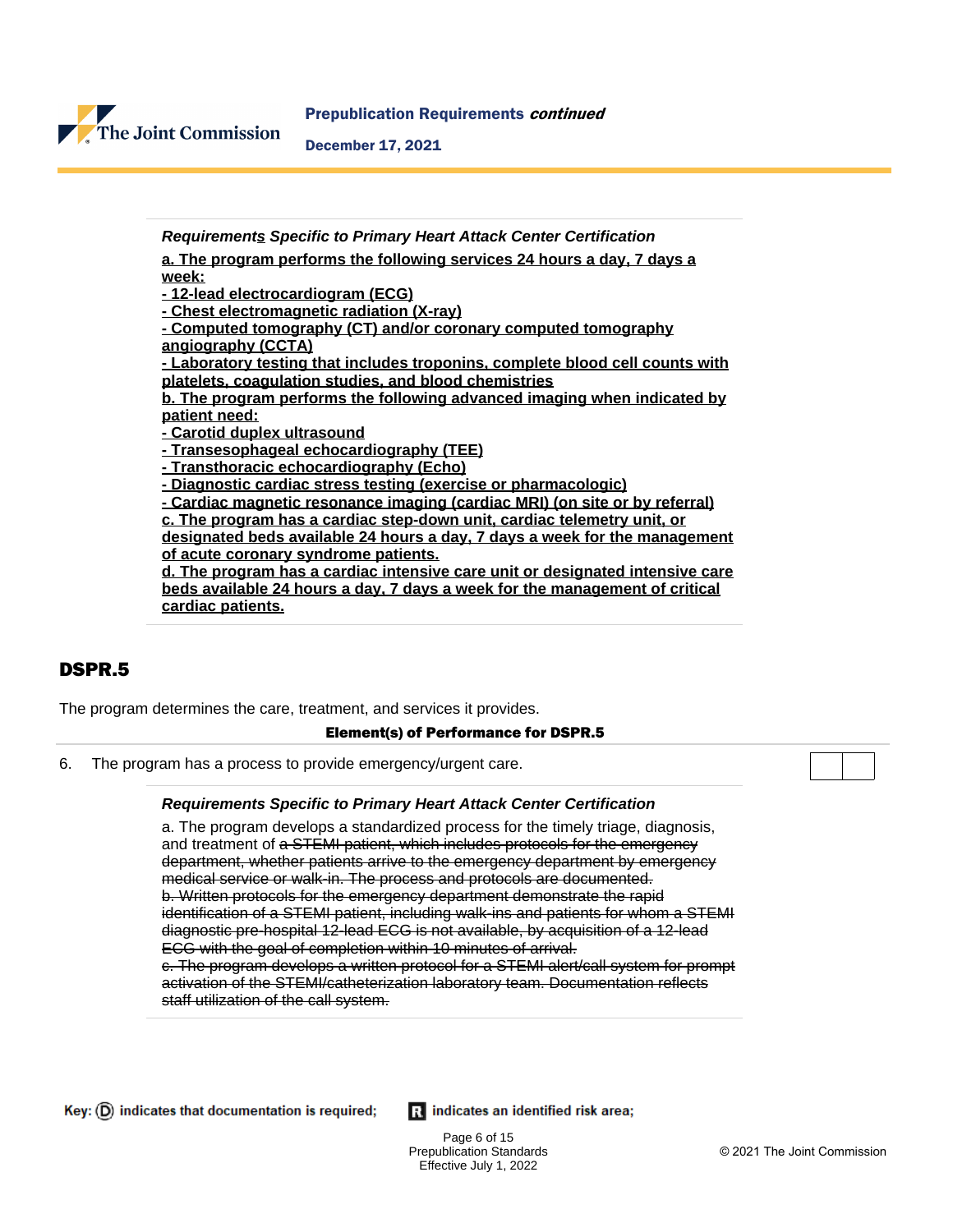

**Requirements Specific to Primary Heart Attack Center Certification**

**a. The program performs the following services 24 hours a day, 7 days a week:**

**- 12-lead electrocardiogram (ECG)**

**- Chest electromagnetic radiation (X-ray)**

**- Computed tomography (CT) and/or coronary computed tomography angiography (CCTA)**

**- Laboratory testing that includes troponins, complete blood cell counts with platelets, coagulation studies, and blood chemistries**

**b. The program performs the following advanced imaging when indicated by patient need:**

**- Carotid duplex ultrasound**

**- Transesophageal echocardiography (TEE)**

**- Transthoracic echocardiography (Echo)**

**- Diagnostic cardiac stress testing (exercise or pharmacologic)**

**- Cardiac magnetic resonance imaging (cardiac MRI) (on site or by referral) c. The program has a cardiac step-down unit, cardiac telemetry unit, or designated beds available 24 hours a day, 7 days a week for the management of acute coronary syndrome patients.**

**d. The program has a cardiac intensive care unit or designated intensive care beds available 24 hours a day, 7 days a week for the management of critical cardiac patients.**

## DSPR.5

The program determines the care, treatment, and services it provides.

#### Element(s) of Performance for DSPR.5

6. The program has a process to provide emergency/urgent care.

#### **Requirements Specific to Primary Heart Attack Center Certification**

a. The program develops a standardized process for the timely triage, diagnosis, and treatment of a STEMI patient, which includes protocols for the emergency department, whether patients arrive to the emergency department by emergency medical service or walk-in. The process and protocols are documented. b. Written protocols for the emergency department demonstrate the rapid identification of a STEMI patient, including walk-ins and patients for whom a STEMI diagnostic pre-hospital 12-lead ECG is not available, by acquisition of a 12-lead ECG with the goal of completion within 10 minutes of arrival. c. The program develops a written protocol for a STEMI alert/call system for prompt activation of the STEMI/catheterization laboratory team. Documentation reflects staff utilization of the call system.

Ri indicates an identified risk area;

Page 6 of 15 Prepublication Standards Effective July 1, 2022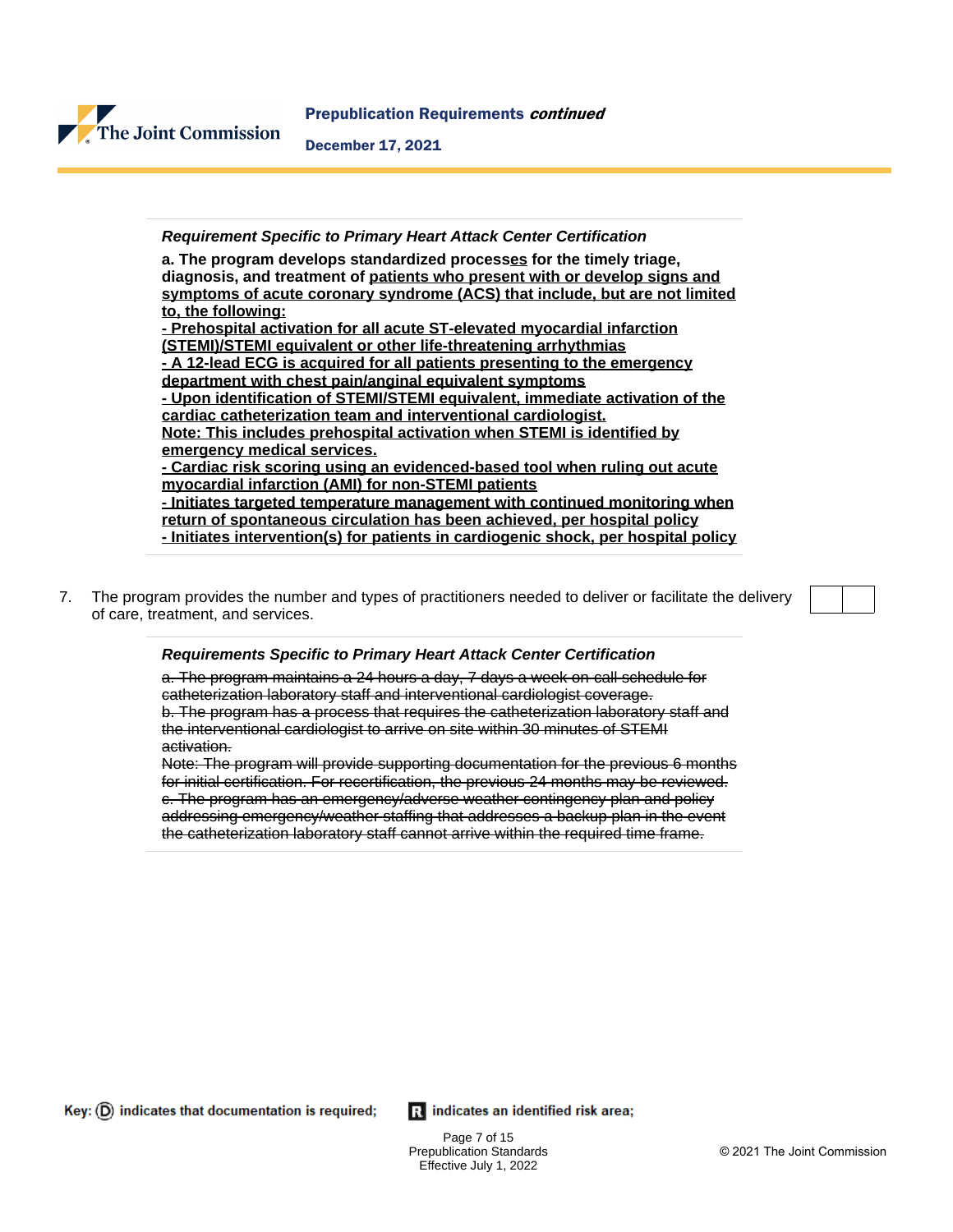

#### **Requirement Specific to Primary Heart Attack Center Certification**

**a. The program develops standardized processes for the timely triage, diagnosis, and treatment of patients who present with or develop signs and symptoms of acute coronary syndrome (ACS) that include, but are not limited to, the following: - Prehospital activation for all acute ST-elevated myocardial infarction** 

**(STEMI)/STEMI equivalent or other life-threatening arrhythmias - A 12-lead ECG is acquired for all patients presenting to the emergency department with chest pain/anginal equivalent symptoms - Upon identification of STEMI/STEMI equivalent, immediate activation of the cardiac catheterization team and interventional cardiologist. Note: This includes prehospital activation when STEMI is identified by emergency medical services. - Cardiac risk scoring using an evidenced-based tool when ruling out acute myocardial infarction (AMI) for non-STEMI patients - Initiates targeted temperature management with continued monitoring when return of spontaneous circulation has been achieved, per hospital policy - Initiates intervention(s) for patients in cardiogenic shock, per hospital policy**

7. The program provides the number and types of practitioners needed to deliver or facilitate the delivery of care, treatment, and services.

#### **Requirements Specific to Primary Heart Attack Center Certification**

a. The program maintains a 24 hours a day, 7 days a week on-call schedule for catheterization laboratory staff and interventional cardiologist coverage. b. The program has a process that requires the catheterization laboratory staff and the interventional cardiologist to arrive on site within 30 minutes of STEMI activation.

Note: The program will provide supporting documentation for the previous 6 months for initial certification. For recertification, the previous 24 months may be reviewed. c. The program has an emergency/adverse weather contingency plan and policy addressing emergency/weather staffing that addresses a backup plan in the event the catheterization laboratory staff cannot arrive within the required time frame.

Key:  $(D)$  indicates that documentation is required;

Ri indicates an identified risk area;

Page 7 of 15 Prepublication Standards Effective July 1, 2022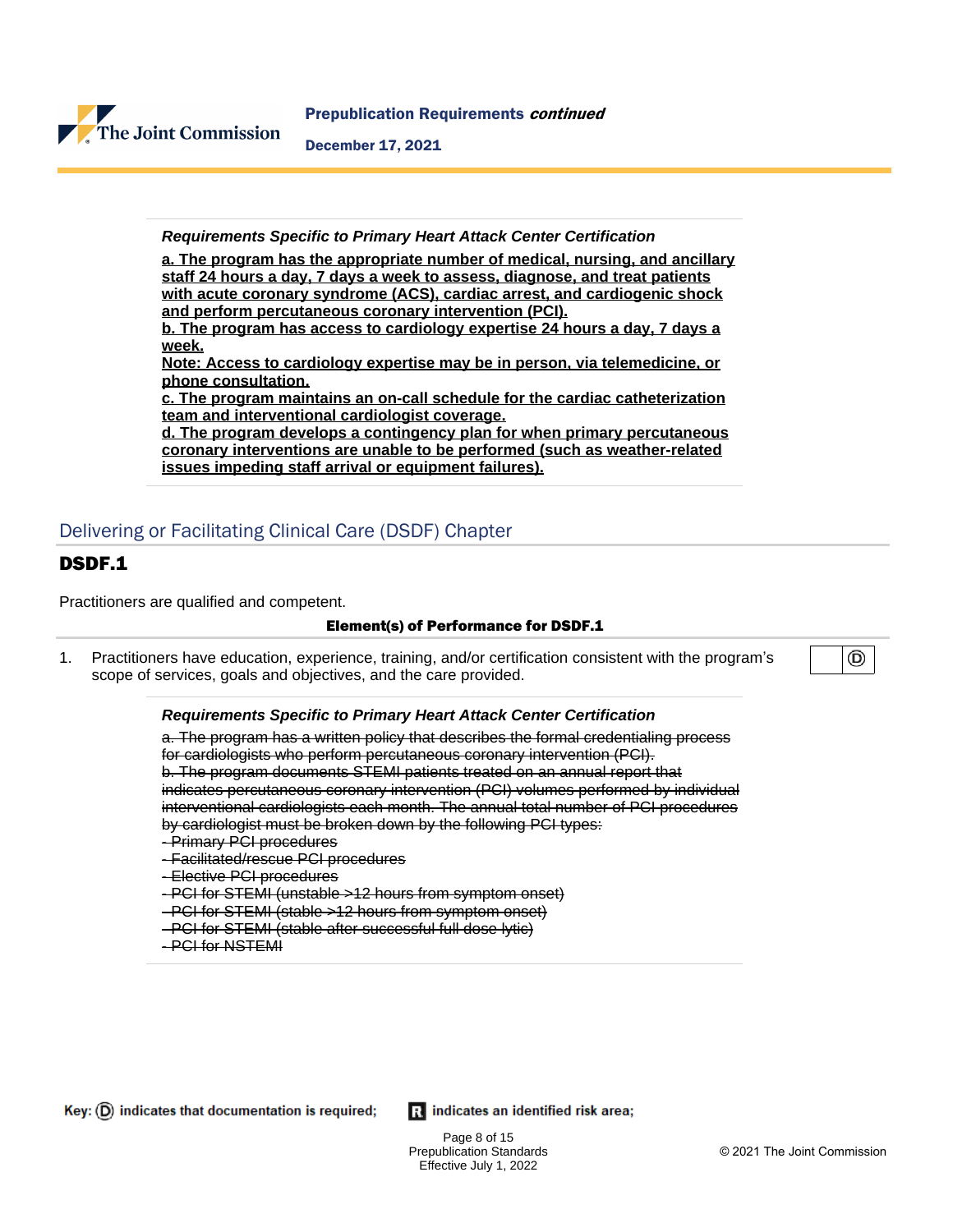

**Requirements Specific to Primary Heart Attack Center Certification**

**a. The program has the appropriate number of medical, nursing, and ancillary staff 24 hours a day, 7 days a week to assess, diagnose, and treat patients with acute coronary syndrome (ACS), cardiac arrest, and cardiogenic shock and perform percutaneous coronary intervention (PCI).**

**b. The program has access to cardiology expertise 24 hours a day, 7 days a week.**

**Note: Access to cardiology expertise may be in person, via telemedicine, or phone consultation.**

**c. The program maintains an on-call schedule for the cardiac catheterization team and interventional cardiologist coverage.**

**d. The program develops a contingency plan for when primary percutaneous coronary interventions are unable to be performed (such as weather-related issues impeding staff arrival or equipment failures).**

## Delivering or Facilitating Clinical Care (DSDF) Chapter

## DSDF.1

Practitioners are qualified and competent.

#### Element(s) of Performance for DSDF.1

1. Practitioners have education, experience, training, and/or certification consistent with the program's scope of services, goals and objectives, and the care provided.

**Requirements Specific to Primary Heart Attack Center Certification**

a. The program has a written policy that describes the formal credentialing process for cardiologists who perform percutaneous coronary intervention (PCI). b. The program documents STEMI patients treated on an annual report that indicates percutaneous coronary intervention (PCI) volumes performed by individual interventional cardiologists each month. The annual total number of PCI procedures by cardiologist must be broken down by the following PCI types:

- Primary PCI procedures
- Facilitated/rescue PCI procedures
- Elective PCI procedures
- PCI for STEMI (unstable >12 hours from symptom onset)
- PCI for STEMI (stable >12 hours from symptom onset)
- PCI for STEMI (stable after successful full dose lytic)
- PCI for NSTEMI

Key:  $(D)$  indicates that documentation is required;

Ri indicates an identified risk area;

Page 8 of 15 Prepublication Standards Effective July 1, 2022

◉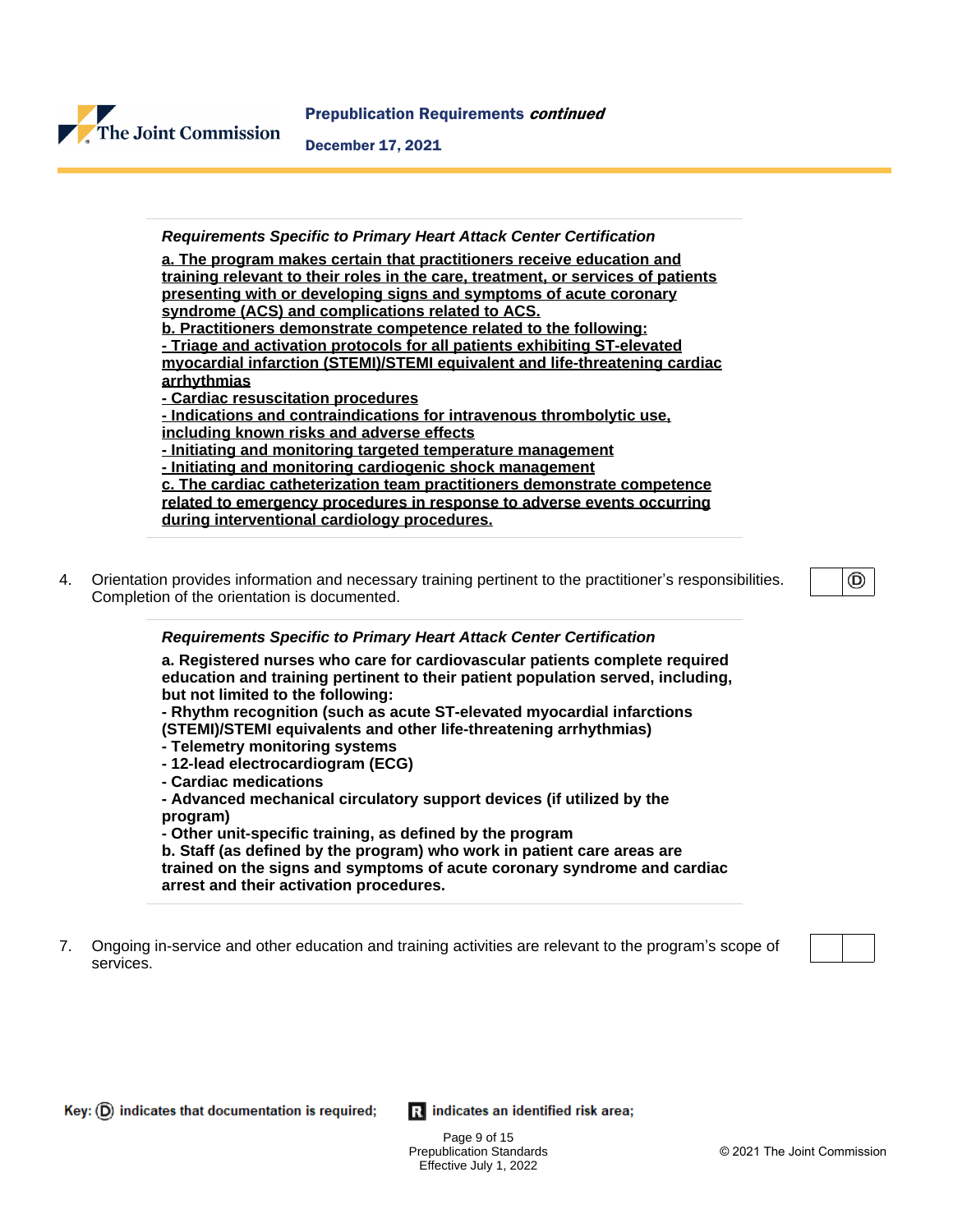

#### **Requirements Specific to Primary Heart Attack Center Certification**

**a. The program makes certain that practitioners receive education and training relevant to their roles in the care, treatment, or services of patients presenting with or developing signs and symptoms of acute coronary syndrome (ACS) and complications related to ACS. b. Practitioners demonstrate competence related to the following: - Triage and activation protocols for all patients exhibiting ST-elevated myocardial infarction (STEMI)/STEMI equivalent and life-threatening cardiac arrhythmias - Cardiac resuscitation procedures - Indications and contraindications for intravenous thrombolytic use, including known risks and adverse effects - Initiating and monitoring targeted temperature management - Initiating and monitoring cardiogenic shock management c. The cardiac catheterization team practitioners demonstrate competence related to emergency procedures in response to adverse events occurring**

- **during interventional cardiology procedures.**
- 4. Orientation provides information and necessary training pertinent to the practitioner's responsibilities. Completion of the orientation is documented.

◉

#### **Requirements Specific to Primary Heart Attack Center Certification**

**a. Registered nurses who care for cardiovascular patients complete required education and training pertinent to their patient population served, including, but not limited to the following:**

**- Rhythm recognition (such as acute ST-elevated myocardial infarctions (STEMI)/STEMI equivalents and other life-threatening arrhythmias)**

- **Telemetry monitoring systems**
- **12-lead electrocardiogram (ECG)**
- **Cardiac medications**

**- Advanced mechanical circulatory support devices (if utilized by the program)**

**- Other unit-specific training, as defined by the program**

**b. Staff (as defined by the program) who work in patient care areas are trained on the signs and symptoms of acute coronary syndrome and cardiac arrest and their activation procedures.**

7. Ongoing in-service and other education and training activities are relevant to the program's scope of services.



Ri indicates an identified risk area;

Page 9 of 15 Prepublication Standards Effective July 1, 2022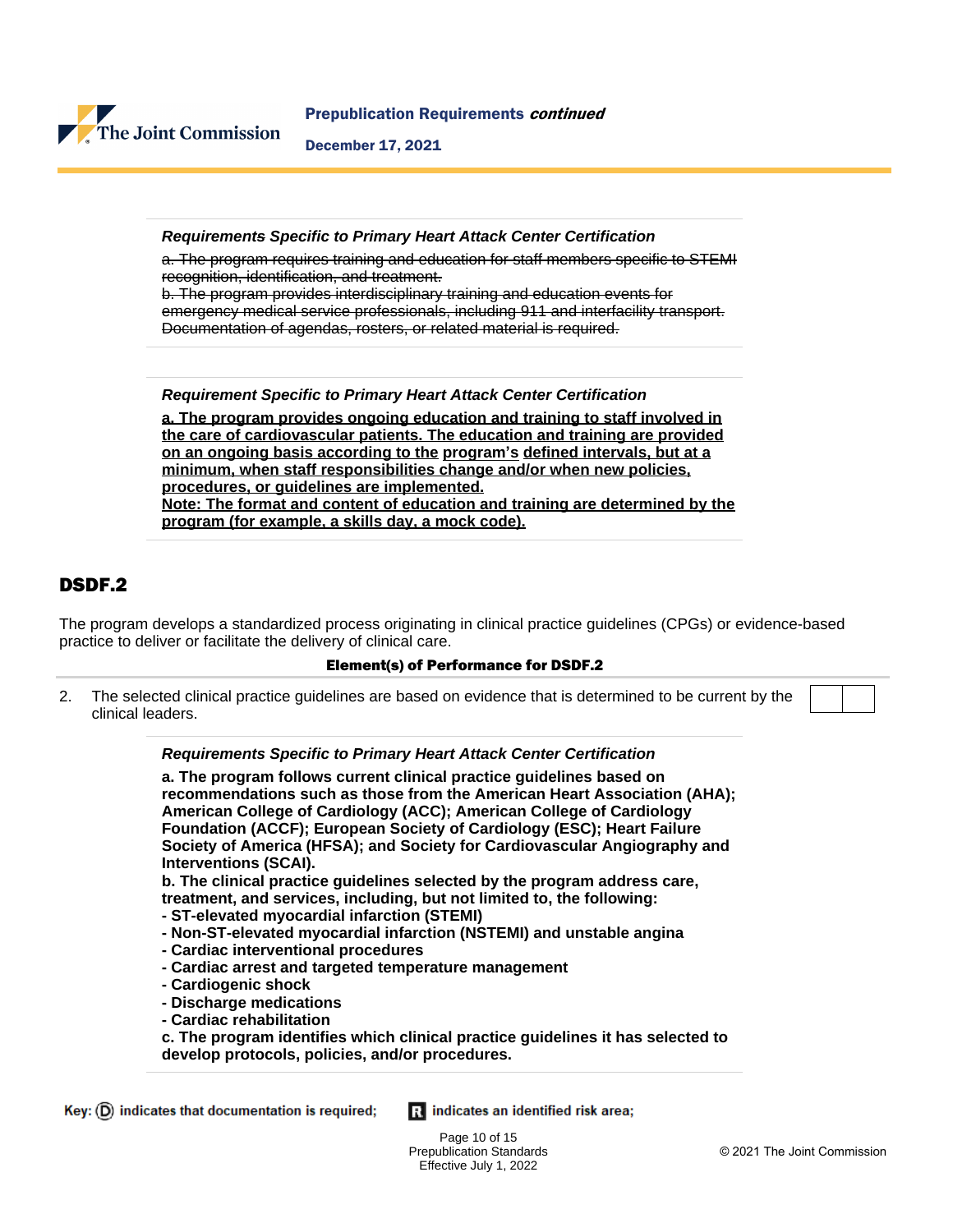

Prepublication Requirements continued

December 17, 2021

**Requirements Specific to Primary Heart Attack Center Certification**

a. The program requires training and education for staff members specific to STEMI recognition, identification, and treatment.

b. The program provides interdisciplinary training and education events for emergency medical service professionals, including 911 and interfacility transport. Documentation of agendas, rosters, or related material is required.

**Requirement Specific to Primary Heart Attack Center Certification**

**a. The program provides ongoing education and training to staff involved in the care of cardiovascular patients. The education and training are provided on an ongoing basis according to the program's defined intervals, but at a minimum, when staff responsibilities change and/or when new policies, procedures, or guidelines are implemented. Note: The format and content of education and training are determined by the program (for example, a skills day, a mock code).**

## DSDF.2

The program develops a standardized process originating in clinical practice guidelines (CPGs) or evidence-based practice to deliver or facilitate the delivery of clinical care.

#### Element(s) of Performance for DSDF.2

2. The selected clinical practice guidelines are based on evidence that is determined to be current by the clinical leaders.

> **Requirements Specific to Primary Heart Attack Center Certification a. The program follows current clinical practice guidelines based on recommendations such as those from the American Heart Association (AHA); American College of Cardiology (ACC); American College of Cardiology Foundation (ACCF); European Society of Cardiology (ESC); Heart Failure Society of America (HFSA); and Society for Cardiovascular Angiography and Interventions (SCAI). b. The clinical practice guidelines selected by the program address care, treatment, and services, including, but not limited to, the following: - ST-elevated myocardial infarction (STEMI) - Non-ST-elevated myocardial infarction (NSTEMI) and unstable angina - Cardiac interventional procedures - Cardiac arrest and targeted temperature management - Cardiogenic shock - Discharge medications**

**- Cardiac rehabilitation**

**c. The program identifies which clinical practice guidelines it has selected to develop protocols, policies, and/or procedures.**

Ri indicates an identified risk area;

Page 10 of 15 Prepublication Standards Effective July 1, 2022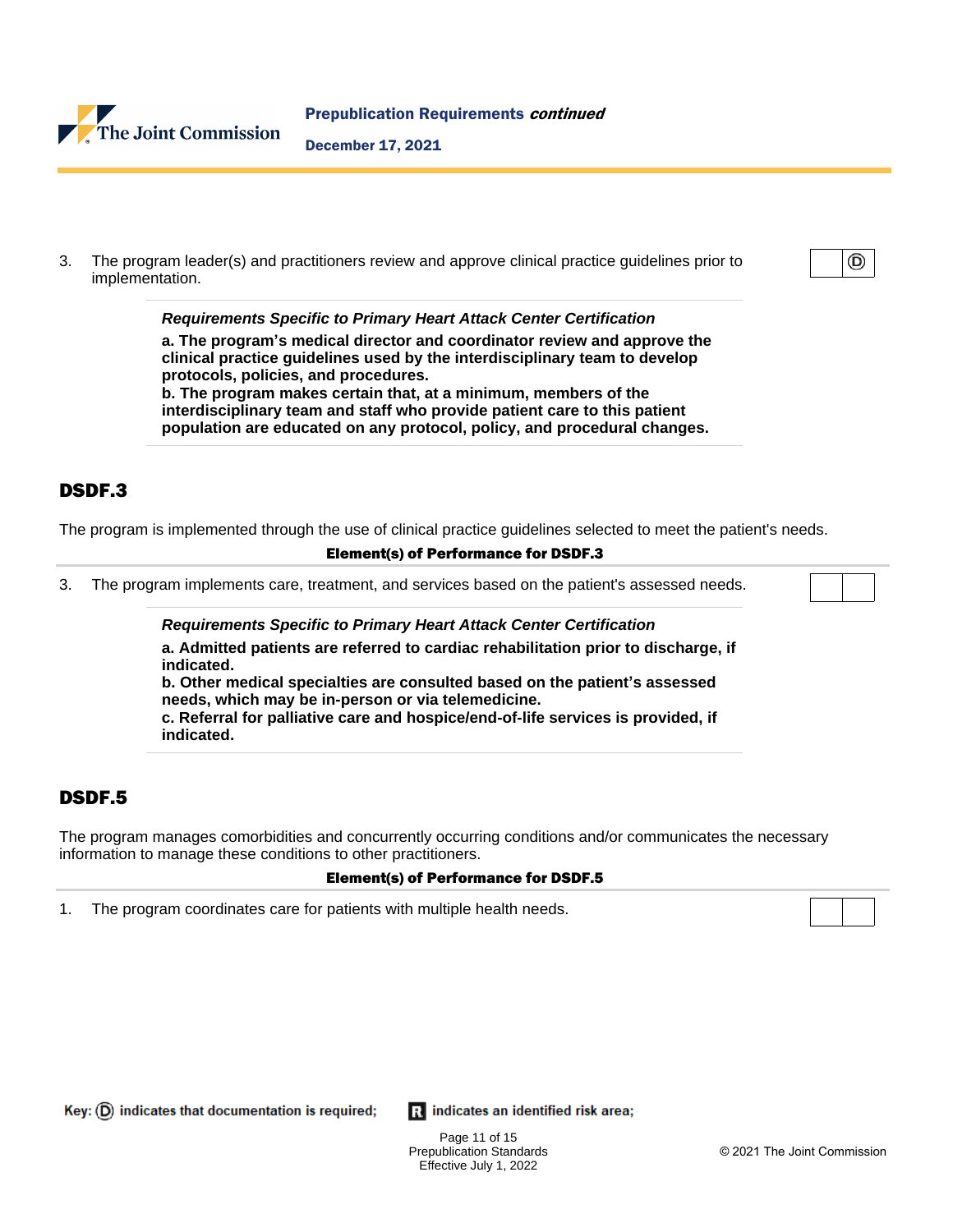

3. The program leader(s) and practitioners review and approve clinical practice guidelines prior to implementation.

**Requirements Specific to Primary Heart Attack Center Certification**

**a. The program's medical director and coordinator review and approve the clinical practice guidelines used by the interdisciplinary team to develop protocols, policies, and procedures.**

**b. The program makes certain that, at a minimum, members of the interdisciplinary team and staff who provide patient care to this patient population are educated on any protocol, policy, and procedural changes.**

## DSDF.3

The program is implemented through the use of clinical practice guidelines selected to meet the patient's needs.

#### Element(s) of Performance for DSDF.3

3. The program implements care, treatment, and services based on the patient's assessed needs.

**Requirements Specific to Primary Heart Attack Center Certification**

**a. Admitted patients are referred to cardiac rehabilitation prior to discharge, if indicated.**

**b. Other medical specialties are consulted based on the patient's assessed needs, which may be in-person or via telemedicine.**

**c. Referral for palliative care and hospice/end-of-life services is provided, if indicated.**

## DSDF.5

The program manages comorbidities and concurrently occurring conditions and/or communicates the necessary information to manage these conditions to other practitioners.

#### Element(s) of Performance for DSDF.5

1. The program coordinates care for patients with multiple health needs.

Key:  $(D)$  indicates that documentation is required;

Ri indicates an identified risk area;

Page 11 of 15 Prepublication Standards Effective July 1, 2022

⊚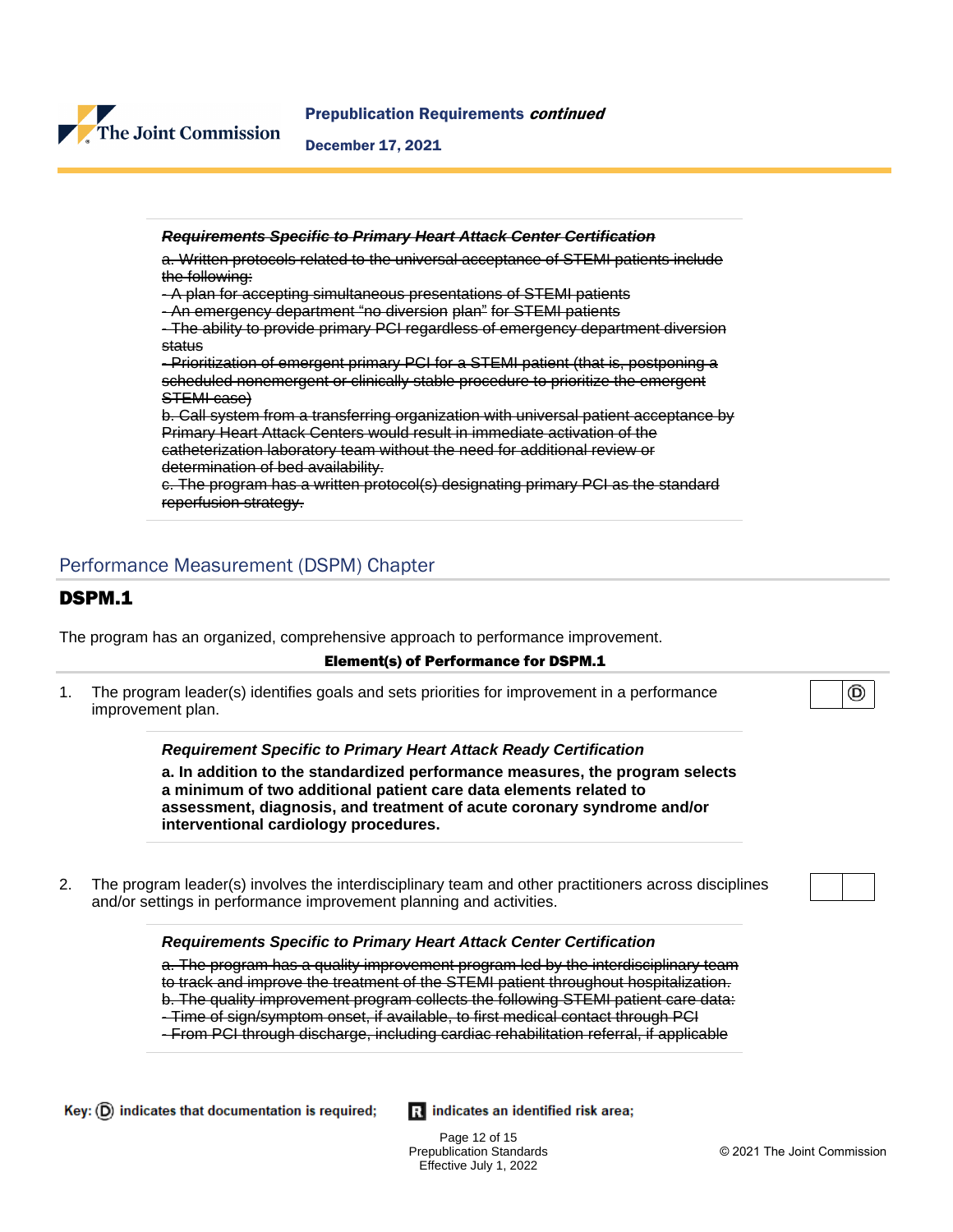

| <b>Requirements Specific to Primary Heart Attack Center Certification</b>            |
|--------------------------------------------------------------------------------------|
| Written protocols related to the universal acceptance of STEMI patients include      |
| the following:                                                                       |
| - A plan for accepting simultaneous presentations of STEMI patients                  |
| - An emergency department "no diversion plan" for STEMI patients                     |
| - The ability to provide primary PCI regardless of emergency department diversion    |
| <del>status</del>                                                                    |
| -Prioritization of emergent primary PCI for a STEMI patient (that is, postponing a   |
| scheduled nonemergent or clinically stable procedure to prioritize the emergent      |
| STEMI case)                                                                          |
| b. Call system from a transferring organization with universal patient acceptance by |
| Primary Heart Attack Centers would result in immediate activation of the             |
| catheterization laboratory team without the need for additional review or            |
| determination of bed availability.                                                   |
| The program has a written protocol(s) designating primary PCI as the standard        |
| reperfusion strategy.                                                                |

## Performance Measurement (DSPM) Chapter

#### DSPM.1

The program has an organized, comprehensive approach to performance improvement.

#### Element(s) of Performance for DSPM.1

1. The program leader(s) identifies goals and sets priorities for improvement in a performance improvement plan.

**Requirement Specific to Primary Heart Attack Ready Certification**

**a. In addition to the standardized performance measures, the program selects a minimum of two additional patient care data elements related to assessment, diagnosis, and treatment of acute coronary syndrome and/or interventional cardiology procedures.**

2. The program leader(s) involves the interdisciplinary team and other practitioners across disciplines and/or settings in performance improvement planning and activities.

#### **Requirements Specific to Primary Heart Attack Center Certification**

a. The program has a quality improvement program led by the interdisciplinary team to track and improve the treatment of the STEMI patient throughout hospitalization. b. The quality improvement program collects the following STEMI patient care data: - Time of sign/symptom onset, if available, to first medical contact through PCI - From PCI through discharge, including cardiac rehabilitation referral, if applicable

Ri indicates an identified risk area;

Page 12 of 15 Prepublication Standards Effective July 1, 2022

⊚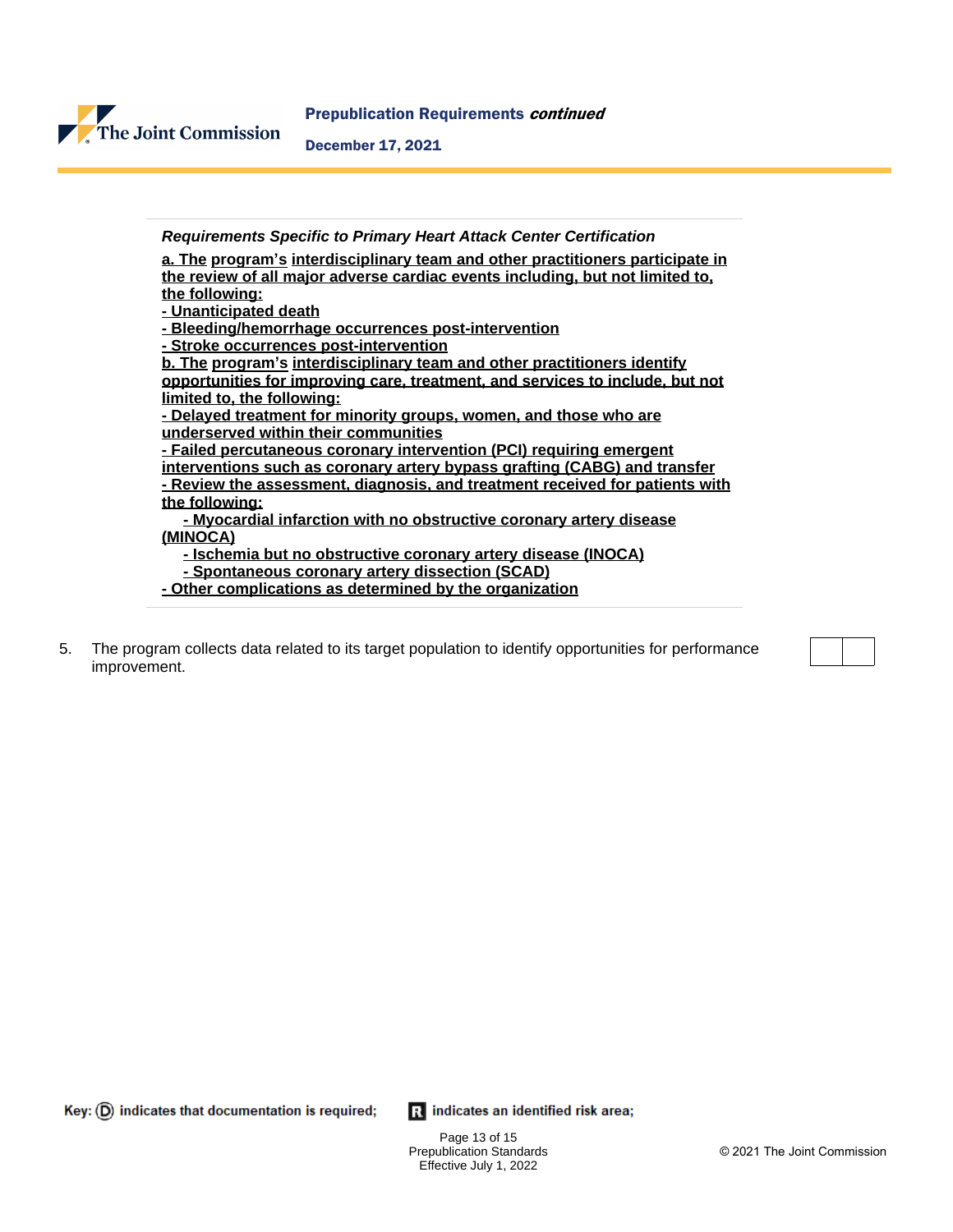

**Requirements Specific to Primary Heart Attack Center Certification a. The program's interdisciplinary team and other practitioners participate in the review of all major adverse cardiac events including, but not limited to, the following: - Unanticipated death - Bleeding/hemorrhage occurrences post-intervention - Stroke occurrences post-intervention b. The program's interdisciplinary team and other practitioners identify opportunities for improving care, treatment, and services to include, but not limited to, the following: - Delayed treatment for minority groups, women, and those who are underserved within their communities - Failed percutaneous coronary intervention (PCI) requiring emergent interventions such as coronary artery bypass grafting (CABG) and transfer - Review the assessment, diagnosis, and treatment received for patients with the following: - Myocardial infarction with no obstructive coronary artery disease (MINOCA) - Ischemia but no obstructive coronary artery disease (INOCA) - Spontaneous coronary artery dissection (SCAD) - Other complications as determined by the organization**

5. The program collects data related to its target population to identify opportunities for performance improvement.

 $Key: (D)$  indicates that documentation is required;

Ri indicates an identified risk area;

Page 13 of 15 Prepublication Standards Effective July 1, 2022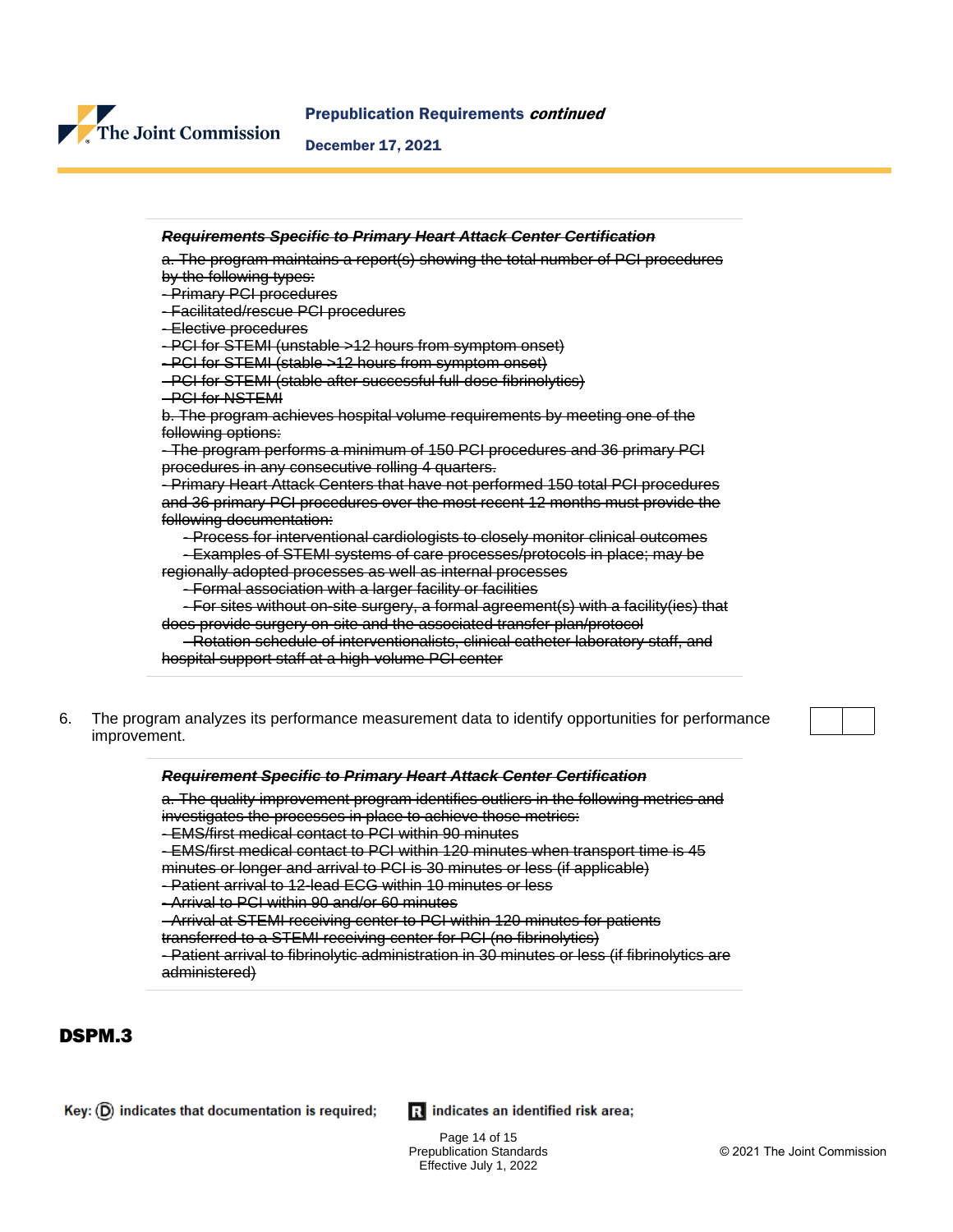

#### Prepublication Requirements continued

#### December 17, 2021



#### **Requirement Specific to Primary Heart Attack Center Certification**

a. The quality improvement program identifies outliers in the following metrics and investigates the processes in place to achieve those metrics:

- EMS/first medical contact to PCI within 90 minutes

- EMS/first medical contact to PCI within 120 minutes when transport time is 45

minutes or longer and arrival to PCI is 30 minutes or less (if applicable)

- Patient arrival to 12-lead ECG within 10 minutes or less

- Arrival to PCI within 90 and/or 60 minutes

- Arrival at STEMI receiving center to PCI within 120 minutes for patients

transferred to a STEMI receiving center for PCI (no fibrinolytics)

- Patient arrival to fibrinolytic administration in 30 minutes or less (if fibrinolytics are administered)

## DSPM.3

Ri indicates an identified risk area;

Page 14 of 15 Prepublication Standards Effective July 1, 2022